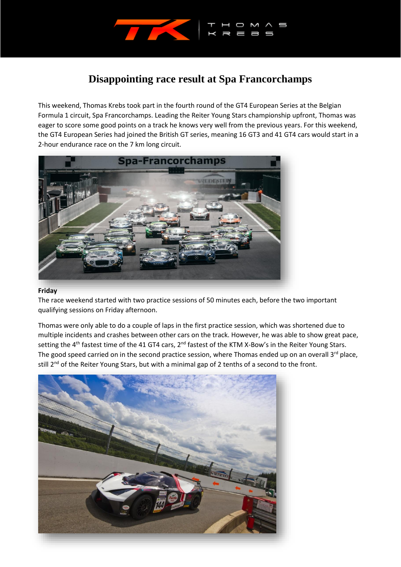

## **Disappointing race result at Spa Francorchamps**

This weekend, Thomas Krebs took part in the fourth round of the GT4 European Series at the Belgian Formula 1 circuit, Spa Francorchamps. Leading the Reiter Young Stars championship upfront, Thomas was eager to score some good points on a track he knows very well from the previous years. For this weekend, the GT4 European Series had joined the British GT series, meaning 16 GT3 and 41 GT4 cars would start in a 2-hour endurance race on the 7 km long circuit.



## **Friday**

The race weekend started with two practice sessions of 50 minutes each, before the two important qualifying sessions on Friday afternoon.

Thomas were only able to do a couple of laps in the first practice session, which was shortened due to multiple incidents and crashes between other cars on the track. However, he was able to show great pace, setting the 4<sup>th</sup> fastest time of the 41 GT4 cars, 2<sup>nd</sup> fastest of the KTM X-Bow's in the Reiter Young Stars. The good speed carried on in the second practice session, where Thomas ended up on an overall 3<sup>rd</sup> place, still 2<sup>nd</sup> of the Reiter Young Stars, but with a minimal gap of 2 tenths of a second to the front.

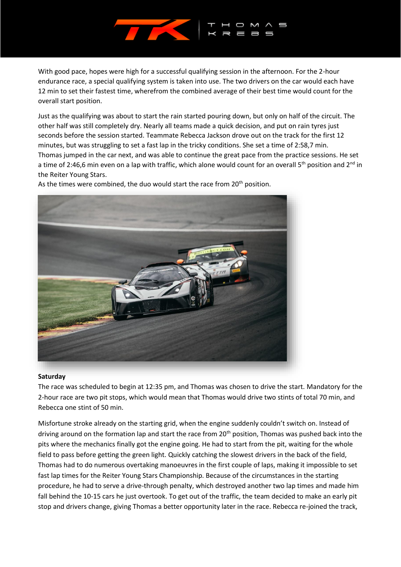

With good pace, hopes were high for a successful qualifying session in the afternoon. For the 2-hour endurance race, a special qualifying system is taken into use. The two drivers on the car would each have 12 min to set their fastest time, wherefrom the combined average of their best time would count for the overall start position.

Just as the qualifying was about to start the rain started pouring down, but only on half of the circuit. The other half was still completely dry. Nearly all teams made a quick decision, and put on rain tyres just seconds before the session started. Teammate Rebecca Jackson drove out on the track for the first 12 minutes, but was struggling to set a fast lap in the tricky conditions. She set a time of 2:58,7 min. Thomas jumped in the car next, and was able to continue the great pace from the practice sessions. He set a time of 2:46,6 min even on a lap with traffic, which alone would count for an overall 5<sup>th</sup> position and 2<sup>nd</sup> in the Reiter Young Stars.

As the times were combined, the duo would start the race from  $20<sup>th</sup>$  position.



## **Saturday**

The race was scheduled to begin at 12:35 pm, and Thomas was chosen to drive the start. Mandatory for the 2-hour race are two pit stops, which would mean that Thomas would drive two stints of total 70 min, and Rebecca one stint of 50 min.

Misfortune stroke already on the starting grid, when the engine suddenly couldn't switch on. Instead of driving around on the formation lap and start the race from 20<sup>th</sup> position, Thomas was pushed back into the pits where the mechanics finally got the engine going. He had to start from the pit, waiting for the whole field to pass before getting the green light. Quickly catching the slowest drivers in the back of the field, Thomas had to do numerous overtaking manoeuvres in the first couple of laps, making it impossible to set fast lap times for the Reiter Young Stars Championship. Because of the circumstances in the starting procedure, he had to serve a drive-through penalty, which destroyed another two lap times and made him fall behind the 10-15 cars he just overtook. To get out of the traffic, the team decided to make an early pit stop and drivers change, giving Thomas a better opportunity later in the race. Rebecca re-joined the track,